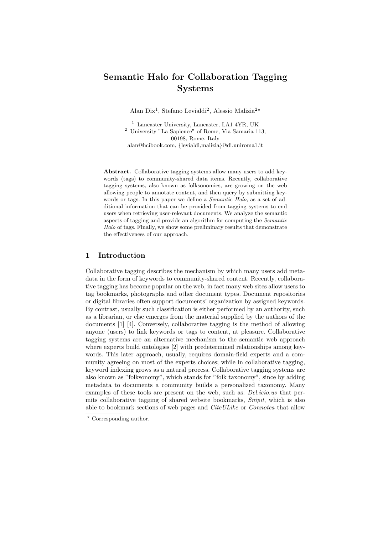# Semantic Halo for Collaboration Tagging Systems

Alan Dix<sup>1</sup>, Stefano Levialdi<sup>2</sup>, Alessio Malizia<sup>2\*</sup>

<sup>1</sup> Lancaster University, Lancaster, LA1 4YR, UK <sup>2</sup> University "La Sapience" of Rome, Via Samaria 113, 00198, Rome, Italy alan@hcibook.com, {levialdi,malizia}@di.uniroma1.it

Abstract. Collaborative tagging systems allow many users to add keywords (tags) to community-shared data items. Recently, collaborative tagging systems, also known as folksonomies, are growing on the web allowing people to annotate content, and then query by submitting keywords or tags. In this paper we define a *Semantic Halo*, as a set of additional information that can be provided from tagging systems to end users when retrieving user-relevant documents. We analyze the semantic aspects of tagging and provide an algorithm for computing the Semantic Halo of tags. Finally, we show some preliminary results that demonstrate the effectiveness of our approach.

## 1 Introduction

Collaborative tagging describes the mechanism by which many users add metadata in the form of keywords to community-shared content. Recently, collaborative tagging has become popular on the web, in fact many web sites allow users to tag bookmarks, photographs and other document types. Document repositories or digital libraries often support documents' organization by assigned keywords. By contrast, usually such classification is either performed by an authority, such as a librarian, or else emerges from the material supplied by the authors of the documents [1] [4]. Conversely, collaborative tagging is the method of allowing anyone (users) to link keywords or tags to content, at pleasure. Collaborative tagging systems are an alternative mechanism to the semantic web approach where experts build ontologies [2] with predetermined relationships among keywords. This later approach, usually, requires domain-field experts and a community agreeing on most of the experts choices; while in collaborative tagging, keyword indexing grows as a natural process. Collaborative tagging systems are also known as "folksonomy", which stands for "folk taxonomy", since by adding metadata to documents a community builds a personalized taxonomy. Many examples of these tools are present on the web, such as: *Del.icio.us* that permits collaborative tagging of shared website bookmarks, *Snipit*, which is also able to bookmark sections of web pages and *CiteULike* or *Connotea* that allow

<sup>?</sup> Corresponding author.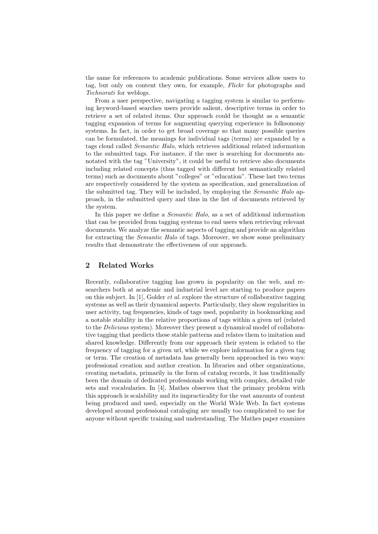the same for references to academic publications. Some services allow users to tag, but only on content they own, for example, Flickr for photographs and Technorati for weblogs.

From a user perspective, navigating a tagging system is similar to performing keyword-based searches users provide salient, descriptive terms in order to retrieve a set of related items. Our approach could be thought as a semantic tagging expansion of terms for augmenting querying experience in folksonomy systems. In fact, in order to get broad coverage so that many possible queries can be formulated, the meanings for individual tags (terms) are expanded by a tags cloud called Semantic Halo, which retrieves additional related information to the submitted tags. For instance, if the user is searching for documents annotated with the tag "University", it could be useful to retrieve also documents including related concepts (thus tagged with different but semantically related terms) such as documents about "colleges" or "education". These last two terms are respectively considered by the system as specification, and generalization of the submitted tag. They will be included, by employing the *Semantic Halo* approach, in the submitted query and thus in the list of documents retrieved by the system.

In this paper we define a Semantic Halo, as a set of additional information that can be provided from tagging systems to end users when retrieving relevant documents. We analyze the semantic aspects of tagging and provide an algorithm for extracting the Semantic Halo of tags. Moreover, we show some preliminary results that demonstrate the effectiveness of our approach.

## 2 Related Works

Recently, collaborative tagging has grown in popularity on the web, and researchers both at academic and industrial level are starting to produce papers on this subject. In [1], Golder *et al.* explore the structure of collaborative tagging systems as well as their dynamical aspects. Particularly, they show regularities in user activity, tag frequencies, kinds of tags used, popularity in bookmarking and a notable stability in the relative proportions of tags within a given url (related to the Delicious system). Moreover they present a dynamical model of collaborative tagging that predicts these stable patterns and relates them to imitation and shared knowledge. Differently from our approach their system is related to the frequency of tagging for a given url, while we explore information for a given tag or term. The creation of metadata has generally been approached in two ways: professional creation and author creation. In libraries and other organizations, creating metadata, primarily in the form of catalog records, it has traditionally been the domain of dedicated professionals working with complex, detailed rule sets and vocabularies. In [4], Mathes observes that the primary problem with this approach is scalability and its impracticality for the vast amounts of content being produced and used, especially on the World Wide Web. In fact systems developed around professional cataloging are usually too complicated to use for anyone without specific training and understanding. The Mathes paper examines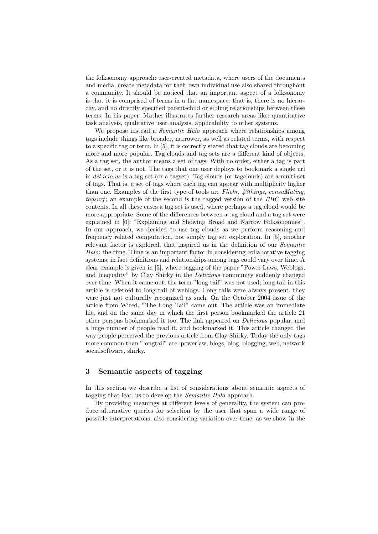the folksonomy approach: user-created metadata, where users of the documents and media, create metadata for their own individual use also shared throughout a community. It should be noticed that an important aspect of a folksonomy is that it is comprised of terms in a flat namespace: that is, there is no hierarchy, and no directly specified parent-child or sibling relationships between these terms. In his paper, Mathes illustrates further research areas like: quantitative task analysis, qualitative user analysis, applicability to other systems.

We propose instead a *Semantic Halo* approach where relationships among tags include things like broader, narrower, as well as related terms, with respect to a specific tag or term. In [5], it is correctly stated that tag clouds are becoming more and more popular. Tag clouds and tag sets are a different kind of objects. As a tag set, the author means a set of tags. With no order, either a tag is part of the set, or it is not. The tags that one user deploys to bookmark a single url in del.icio.us is a tag set (or a tagset). Tag clouds (or tagclouds) are a multi-set of tags. That is, a set of tags where each tag can appear with multiplicity higher than one. Examples of the first type of tools are Flickr, 43things, consuMating, tagsurf; an example of the second is the tagged version of the BBC web site contents. In all these cases a tag set is used, where perhaps a tag cloud would be more appropriate. Some of the differences between a tag cloud and a tag set were explained in [6]: "Explaining and Showing Broad and Narrow Folksonomies". In our approach, we decided to use tag clouds as we perform reasoning and frequency related computation, not simply tag set exploration. In [5], another relevant factor is explored, that inspired us in the definition of our Semantic Halo; the time. Time is an important factor in considering collaborative tagging systems, in fact definitions and relationships among tags could vary over time. A clear example is given in [5], where tagging of the paper "Power Laws, Weblogs, and Inequality" by Clay Shirky in the *Delicious* community suddenly changed over time. When it came out, the term "long tail" was not used; long tail in this article is referred to long tail of weblogs. Long tails were always present, they were just not culturally recognized as such. On the October 2004 issue of the article from Wired, "The Long Tail" came out. The article was an immediate hit, and on the same day in which the first person bookmarked the article 21 other persons bookmarked it too. The link appeared on Delicious popular, and a huge number of people read it, and bookmarked it. This article changed the way people perceived the previous article from Clay Shirky. Today the only tags more common than "longtail" are: powerlaw, blogs, blog, blogging, web, network socialsoftware, shirky.

## 3 Semantic aspects of tagging

In this section we describe a list of considerations about semantic aspects of tagging that lead us to develop the Semantic Halo approach.

By providing meanings at different levels of generality, the system can produce alternative queries for selection by the user that span a wide range of possible interpretations, also considering variation over time, as we show in the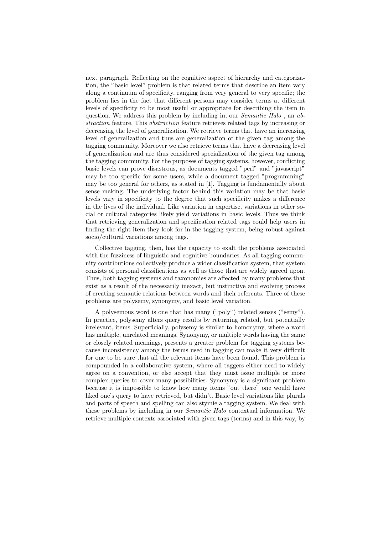next paragraph. Reflecting on the cognitive aspect of hierarchy and categorization, the "basic level" problem is that related terms that describe an item vary along a continuum of specificity, ranging from very general to very specific; the problem lies in the fact that different persons may consider terms at different levels of specificity to be most useful or appropriate for describing the item in question. We address this problem by including in, our *Semantic Halo*, an  $ab$ straction feature. This abstraction feature retrieves related tags by increasing or decreasing the level of generalization. We retrieve terms that have an increasing level of generalization and thus are generalization of the given tag among the tagging community. Moreover we also retrieve terms that have a decreasing level of generalization and are thus considered specialization of the given tag among the tagging community. For the purposes of tagging systems, however, conflicting basic levels can prove disastrous, as documents tagged "perl" and "javascript" may be too specific for some users, while a document tagged "programming" may be too general for others, as stated in [1]. Tagging is fundamentally about sense making. The underlying factor behind this variation may be that basic levels vary in specificity to the degree that such specificity makes a difference in the lives of the individual. Like variation in expertise, variations in other social or cultural categories likely yield variations in basic levels. Thus we think that retrieving generalization and specification related tags could help users in finding the right item they look for in the tagging system, being robust against socio/cultural variations among tags.

Collective tagging, then, has the capacity to exalt the problems associated with the fuzziness of linguistic and cognitive boundaries. As all tagging community contributions collectively produce a wider classification system, that system consists of personal classifications as well as those that are widely agreed upon. Thus, both tagging systems and taxonomies are affected by many problems that exist as a result of the necessarily inexact, but instinctive and evolving process of creating semantic relations between words and their referents. Three of these problems are polysemy, synonymy, and basic level variation.

A polysemous word is one that has many ("poly") related senses ("semy"). In practice, polysemy alters query results by returning related, but potentially irrelevant, items. Superficially, polysemy is similar to homonymy, where a word has multiple, unrelated meanings. Synonymy, or multiple words having the same or closely related meanings, presents a greater problem for tagging systems because inconsistency among the terms used in tagging can make it very difficult for one to be sure that all the relevant items have been found. This problem is compounded in a collaborative system, where all taggers either need to widely agree on a convention, or else accept that they must issue multiple or more complex queries to cover many possibilities. Synonymy is a significant problem because it is impossible to know how many items "out there" one would have liked one's query to have retrieved, but didn't. Basic level variations like plurals and parts of speech and spelling can also stymie a tagging system. We deal with these problems by including in our Semantic Halo contextual information. We retrieve multiple contexts associated with given tags (terms) and in this way, by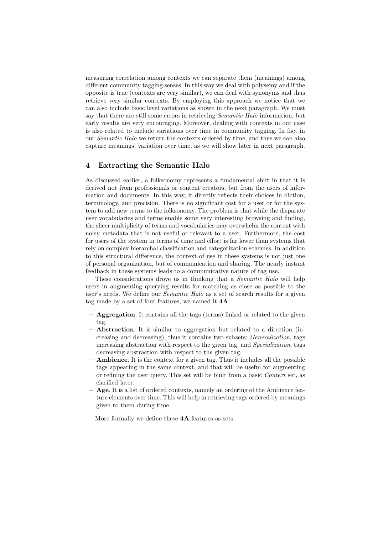measuring correlation among contexts we can separate them (meanings) among different community tagging senses. In this way we deal with polysemy and if the opposite is true (contexts are very similar), we can deal with synonyms and thus retrieve very similar contexts. By employing this approach we notice that we can also include basic level variations as shown in the next paragraph. We must say that there are still some errors in retrieving *Semantic Halo* information, but early results are very encouraging. Moreover, dealing with contexts in our case is also related to include variations over time in community tagging. In fact in our Semantic Halo we return the contexts ordered by time, and thus we can also capture meanings' variation over time, as we will show later in next paragraph.

### 4 Extracting the Semantic Halo

As discussed earlier, a folksonomy represents a fundamental shift in that it is derived not from professionals or content creators, but from the users of information and documents. In this way, it directly reflects their choices in diction, terminology, and precision. There is no significant cost for a user or for the system to add new terms to the folksonomy. The problem is that while the disparate user vocabularies and terms enable some very interesting browsing and finding, the sheer multiplicity of terms and vocabularies may overwhelm the content with noisy metadata that is not useful or relevant to a user. Furthermore, the cost for users of the system in terms of time and effort is far lower than systems that rely on complex hierarchal classification and categorization schemes. In addition to this structural difference, the context of use in these systems is not just one of personal organization, but of communication and sharing. The nearly instant feedback in these systems leads to a communicative nature of tag use.

These considerations drove us in thinking that a Semantic Halo will help users in augmenting querying results for matching as close as possible to the user's needs. We define our *Semantic Halo* as a set of search results for a given tag made by a set of four features, we named it  $4A$ :

- Aggregation. It contains all the tags (terms) linked or related to the given tag.
- Abstraction. It is similar to aggregation but related to a direction (increasing and decreasing), thus it contains two subsets: Generalization, tags increasing abstraction with respect to the given tag, and Specialization, tags decreasing abstraction with respect to the given tag.
- Ambience. It is the context for a given tag. Thus it includes all the possible tags appearing in the same context, and that will be useful for augmenting or refining the user query. This set will be built from a basic Context set, as clarified later.
- Age. It is a list of ordered contexts, namely an ordering of the Ambience feature elements over time. This will help in retrieving tags ordered by meanings given to them during time.

More formally we define these  $4A$  features as sets: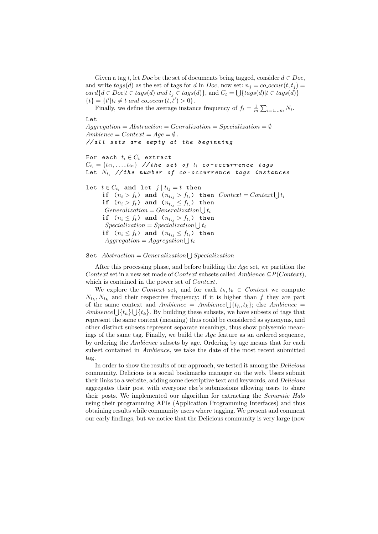Given a tag t, let Doc be the set of documents being tagged, consider  $d \in Doc$ , and write  $tags(d)$  as the set of tags for d in Doc, now set:  $n_j = co\_occur(t, t_j) =$  $card{d \in Doc|t \in tags(d) \text{ and } t_j \in tags(d)\},$  and  $C_t = \bigcup{tags(d)|t \in tags(d)\}$  $\{t\} = \{t'|t_i \neq t \text{ and } co\_occur(t, t') > 0\}.$ 

Finally, we define the average instance frequency of  $f_t = \frac{1}{m} \sum_{i=1...m} N_i$ .

Let  $Aggregation = Abstraction = Generalization = Specialization = \emptyset$ Ambience =  $Context = Age = ∅$ . // all sets are empty at the beginning For each  $t_i \in C_t$  extract  $C_{t_i} = \{t_{i1}, \ldots, t_{in}\}$  // the set of  $t_i$  co-occurrence tags Let  $N_{t_i}$  // the number of co-occurrence tags instances let  $t \in C_{t_i}$  and let  $j | t_{ij} = t$  then if ( $n_i > f_t$ ) and ( $n_{t_{ij}} > f_{t_i}$ ) then  $Context = Context \bigcup t_i$ if  $(n_i > f_t)$  and  $(n_{t_{ij}} \leq f_{t_i})$  then  $Generalization = Generalization \bigcup t_i$ if  $(n_i \leq f_t)$  and  $(n_{t_{ij}} > f_{t_i})$  then  $Specialization = Specialization \bigcup t_i$ if  $(n_i \leq f_t)$  and  $(n_{t_{ij}} \leq f_{t_i})$  then  $Aggregation = Aggregation \bigcup t_i$ 

#### $\texttt{Set}\ \ Abstraction = Generalization \bigcup Specialization$

After this processing phase, and before building the Age set, we partition the Context set in a new set made of Context subsets called Ambience  $\subseteq P(Context)$ , which is contained in the power set of *Context*.

We explore the Context set, and for each  $t_h, t_k \in Context$  we compute  $N_{t_h}, N_{t_k}$  and their respective frequency; if it is higher than f they are part of the same context and Ambience = Ambience  $\bigcup \{t_h, t_k\}$ ; else Ambience = Ambience  $\bigcup \{t_h\} \bigcup \{t_k\}$ . By building these subsets, we have subsets of tags that represent the same context (meaning) thus could be considered as synonyms, and other distinct subsets represent separate meanings, thus show polysemic meanings of the same tag. Finally, we build the Age feature as an ordered sequence, by ordering the Ambience subsets by age. Ordering by age means that for each subset contained in Ambience, we take the date of the most recent submitted tag.

In order to show the results of our approach, we tested it among the Delicious community. Delicious is a social bookmarks manager on the web. Users submit their links to a website, adding some descriptive text and keywords, and Delicious aggregates their post with everyone else's submissions allowing users to share their posts. We implemented our algorithm for extracting the Semantic Halo using their programming APIs (Application Programming Interfaces) and thus obtaining results while community users where tagging. We present and comment our early findings, but we notice that the Delicious community is very large (now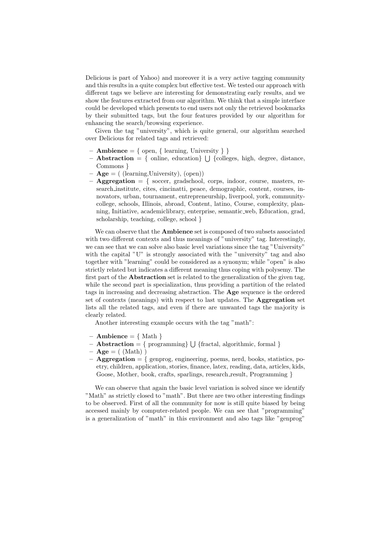Delicious is part of Yahoo) and moreover it is a very active tagging community and this results in a quite complex but effective test. We tested our approach with different tags we believe are interesting for demonstrating early results, and we show the features extracted from our algorithm. We think that a simple interface could be developed which presents to end users not only the retrieved bookmarks by their submitted tags, but the four features provided by our algorithm for enhancing the search/browsing experience.

Given the tag "university", which is quite general, our algorithm searched over Delicious for related tags and retrieved:

- $-$  **Ambience** = { open, { learning, University } }
- $-$  **Abstraction** = { online, education}  $\bigcup$  {colleges, high, degree, distance, Commons }
- $-$  **Age** = ( (learning, University), (open))
- $-$  **Aggregation**  $=$  { soccer, gradschool, corps, indoor, course, masters, research institute, cites, cincinatti, peace, demographic, content, courses, innovators, urban, tournament, entrepreneurship, liverpool, york, communitycollege, schools, Illinois, abroad, Content, latino, Course, complexity, planning, Initiative, academiclibrary, enterprise, semantic web, Education, grad, scholarship, teaching, college, school }

We can observe that the **Ambience** set is composed of two subsets associated with two different contexts and thus meanings of "university" tag. Interestingly, we can see that we can solve also basic level variations since the tag "University" with the capital "U" is strongly associated with the "university" tag and also together with "learning" could be considered as a synonym; while "open" is also strictly related but indicates a different meaning thus coping with polysemy. The first part of the Abstraction set is related to the generalization of the given tag, while the second part is specialization, thus providing a partition of the related tags in increasing and decreasing abstraction. The Age sequence is the ordered set of contexts (meanings) with respect to last updates. The Aggregation set lists all the related tags, and even if there are unwanted tags the majority is clearly related.

Another interesting example occurs with the tag "math":

- **Ambience** =  $\{ \text{Math } \}$
- $-$  **Abstraction** = { programming}  $\bigcup$  {fractal, algorithmic, formal }
- $-$  Age  $=$  ( (Math) )
- $-$  **Aggregation**  $=$  { genprog, engineering, poems, nerd, books, statistics, poetry, children, application, stories, finance, latex, reading, data, articles, kids, Goose, Mother, book, crafts, sparlings, research\_result, Programming }

We can observe that again the basic level variation is solved since we identify "Math" as strictly closed to "math". But there are two other interesting findings to be observed. First of all the community for now is still quite biased by being accessed mainly by computer-related people. We can see that "programming" is a generalization of "math" in this environment and also tags like "genprog"